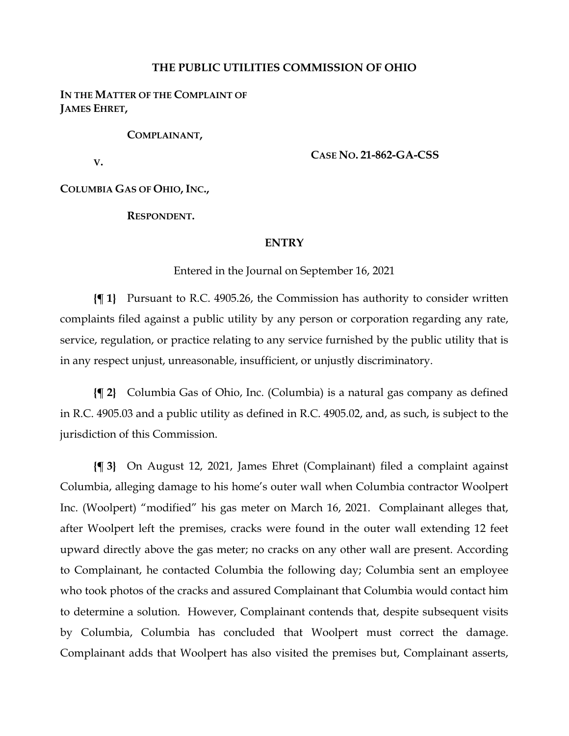## **THE PUBLIC UTILITIES COMMISSION OF OHIO**

**IN THE MATTER OF THE COMPLAINT OF JAMES EHRET,**

**COMPLAINANT,**

**V.**

**CASE NO. 21-862-GA-CSS**

**COLUMBIA GAS OF OHIO, INC.,**

**RESPONDENT.**

## **ENTRY**

Entered in the Journal on September 16, 2021

**{¶ 1}** Pursuant to R.C. 4905.26, the Commission has authority to consider written complaints filed against a public utility by any person or corporation regarding any rate, service, regulation, or practice relating to any service furnished by the public utility that is in any respect unjust, unreasonable, insufficient, or unjustly discriminatory.

**{¶ 2}** Columbia Gas of Ohio, Inc. (Columbia) is a natural gas company as defined in R.C. 4905.03 and a public utility as defined in R.C. 4905.02, and, as such, is subject to the jurisdiction of this Commission.

**{¶ 3}** On August 12, 2021, James Ehret (Complainant) filed a complaint against Columbia, alleging damage to his home's outer wall when Columbia contractor Woolpert Inc. (Woolpert) "modified" his gas meter on March 16, 2021. Complainant alleges that, after Woolpert left the premises, cracks were found in the outer wall extending 12 feet upward directly above the gas meter; no cracks on any other wall are present. According to Complainant, he contacted Columbia the following day; Columbia sent an employee who took photos of the cracks and assured Complainant that Columbia would contact him to determine a solution. However, Complainant contends that, despite subsequent visits by Columbia, Columbia has concluded that Woolpert must correct the damage. Complainant adds that Woolpert has also visited the premises but, Complainant asserts,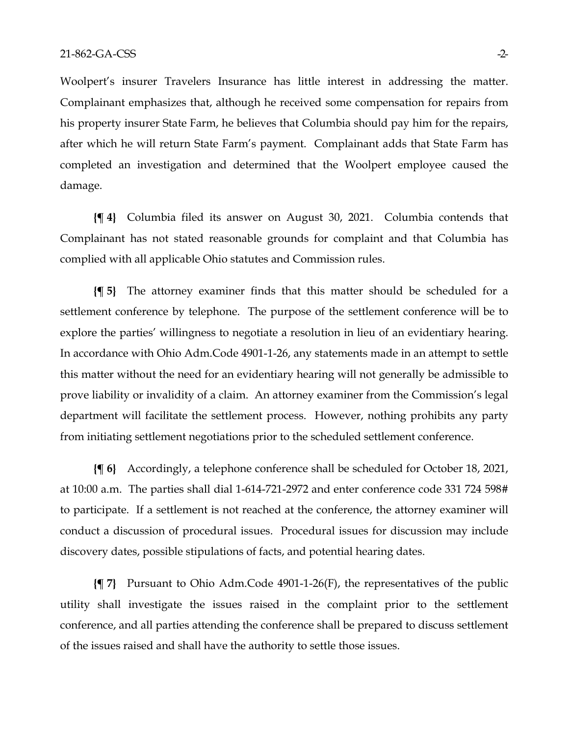Woolpert's insurer Travelers Insurance has little interest in addressing the matter. Complainant emphasizes that, although he received some compensation for repairs from his property insurer State Farm, he believes that Columbia should pay him for the repairs, after which he will return State Farm's payment. Complainant adds that State Farm has completed an investigation and determined that the Woolpert employee caused the damage.

**{¶ 4}** Columbia filed its answer on August 30, 2021. Columbia contends that Complainant has not stated reasonable grounds for complaint and that Columbia has complied with all applicable Ohio statutes and Commission rules.

**{¶ 5}** The attorney examiner finds that this matter should be scheduled for a settlement conference by telephone. The purpose of the settlement conference will be to explore the parties' willingness to negotiate a resolution in lieu of an evidentiary hearing. In accordance with Ohio Adm.Code 4901-1-26, any statements made in an attempt to settle this matter without the need for an evidentiary hearing will not generally be admissible to prove liability or invalidity of a claim. An attorney examiner from the Commission's legal department will facilitate the settlement process. However, nothing prohibits any party from initiating settlement negotiations prior to the scheduled settlement conference.

**{¶ 6}** Accordingly, a telephone conference shall be scheduled for October 18, 2021, at 10:00 a.m. The parties shall dial 1-614-721-2972 and enter conference code 331 724 598# to participate. If a settlement is not reached at the conference, the attorney examiner will conduct a discussion of procedural issues. Procedural issues for discussion may include discovery dates, possible stipulations of facts, and potential hearing dates.

**{¶ 7}** Pursuant to Ohio Adm.Code 4901-1-26(F), the representatives of the public utility shall investigate the issues raised in the complaint prior to the settlement conference, and all parties attending the conference shall be prepared to discuss settlement of the issues raised and shall have the authority to settle those issues.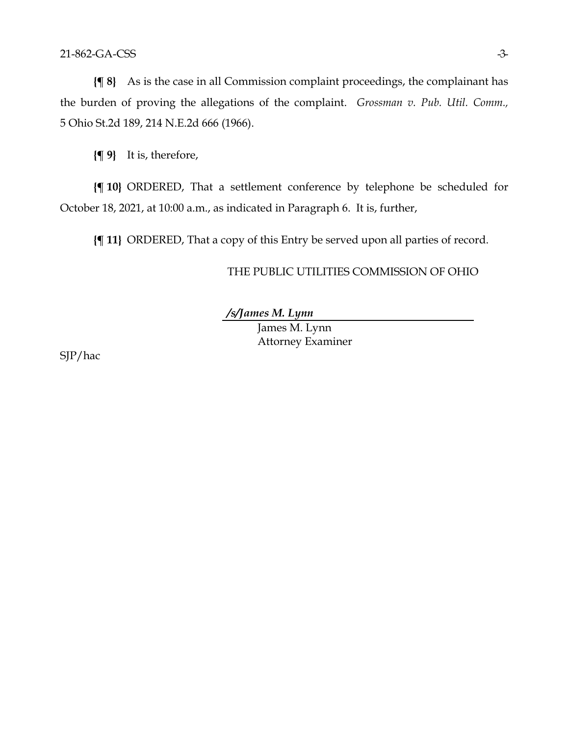**{¶ 8}** As is the case in all Commission complaint proceedings, the complainant has the burden of proving the allegations of the complaint. *Grossman v. Pub. Util. Comm.,*  5 Ohio St.2d 189, 214 N.E.2d 666 (1966).

**{¶ 9}** It is, therefore,

**{¶ 10}** ORDERED, That a settlement conference by telephone be scheduled for October 18, 2021, at 10:00 a.m., as indicated in Paragraph 6. It is, further,

**{¶ 11}** ORDERED, That a copy of this Entry be served upon all parties of record.

## THE PUBLIC UTILITIES COMMISSION OF OHIO

*/s/James M. Lynn*

James M. Lynn Attorney Examiner

SJP/hac